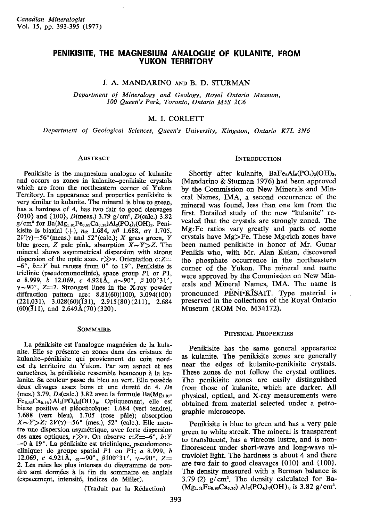# PENIKISITE, THE MAGNESIUM ANALOGUE OF KULANITE, FROM YUKON TERRITORY

J. A. MANDARINO AND B. D. STURMAN

Department of Mineralogy and Geology, Royal Ontario Museum, 100 Queen's Park, Toronto, Ontario M5S 2C6

# M. I. CORLETT

Department of Geological Sciences, Queen's University, Kingston, Ontario K7L 3N6

### **ABSTRACT**

Penikisite is the mapesium analogue of kulanite and occurs as zones in kulanite-penikisite crystals which are from the northeastern corner of Yukon Territory. In appearance and properties penikisite is very similar to kulanite. The mineral is blue to green, has a hardness of 4, has two fair to good cleavages  ${010}$  and  ${100}$ , D(meas.) 3.79 g/cm<sup>3</sup>, D(calc.) 3.82  $g/cm^3$  for  $Ba(Mg_{1.01}Fe_{0.83}Ca_{0.16})Al_2(PO_4)_2(OH)_3.$  Penikisite is biaxial (+),  $n_{\alpha}$  1.684,  $n_{\beta}$  1.688,  $n_{\gamma}$  1.705,  $2V(\gamma) = 56^{\circ}$  (meas.) and  $52^{\circ}$  (calc.); X grass green, Y blue green, Z pale pink, absorption  $X \sim Y \geq Z$ . The mineral shows asymmetrical dispersion with strong dispersion of the optic axes.  $r \gg v$ . Orientation  $c:Z=$  $-6^{\circ}$ ,  $b \approx Y$  but ranges from 0° to 19°. Penikisite is triclinic (pseudomonoclinic), space group  $\overline{P1}$  or  $\overline{P1}$ , a 8.999, b 12.069, c 4.921Å,  $a \sim 90^\circ$ ,  $\beta$  100°31',  $\gamma$ ~90°, Z=2. Strongest lines in the X-ray powder diffraction pattern are: 8.81(60)(100), 3.094(100)  $(221,031)$ ,  $3.028(60)(\overline{1}31)$ ,  $2.915(80)(211)$ ,  $2.684$  $(60)(\overline{3}11)$ , and  $2.649\text{\AA}(70)$  (320).

#### SOMMAIRE

La pénikisite est l'analogue magnésien de la kulanite. Elle se présente en zones dans des cristaux de kulanite-p6nikisite qui proviennent du coin nordest du territoire du Yukon. Par son aspect et ses caractères, la pénikisite ressemble beaucoup à la kulanite. Sa couleur passe du bleu au vert. Elle possdde deux clivages assez bons et une dureté de 4. Ds (mes.) 3.79, Ds(calc.) 3.82 avec la formule  $Ba(Mg<sub>1.01</sub>$ - $Fe<sub>0.83</sub>Ca<sub>0.16</sub>$  $Al<sub>2</sub>(PO<sub>4</sub>)<sub>3</sub>(OH)<sub>3</sub>$ . Optiquement, elle est biaxe positive et pléochroïque: 1.684 (vert tendre), 1.688 (vert bleu), 1.705 (rose pâle); absorption  $X \sim Y \gg Z$ ; 2 $V(\gamma) = 56^{\circ}$  (mes.), 52° (calc.). Elle montre une dispersion asymétrique, avec forte dispersion des axes optiques,  $r \gg v$ . On observe c:Z=-6°, b:Y  $=0$  à 19°. La pénikisite est triclinique, pseudomonoclinique: de groupe spatial P1 ou P $\overline{1}$ ; a 8.999, b 12.069, c 4.921Å,  $\alpha{\sim}90^{\circ}$ ,  $\beta 100^{\circ}31'$ ,  $\gamma{\sim}90^{\circ}$ ,  $Z=$ 2. Les raies les plus intenses du diagramme de poudre sont données à la fin du sommaire en anglais (espacement, intensit6, indices do Miller).

(Traduit par la R6daction)

## **INTRODUCTION**

Shortly after kulanite,  $BaFe<sub>2</sub>Al<sub>2</sub>(PO<sub>4</sub>)<sub>3</sub>(OH)<sub>3</sub>$ , (Mandarino & Sturman 1976) had been approved by the Commission on New Minerals and Mineral Names, IMA, a second occurrence of the mineral was found, less than one km from the first. Detailed study of the new "kulanite" revealed that the crystals are strongly zoned. The Mg:Fe ratios vary greatly and parts of some crystals have  $Mg$  $F$ e. These Mg-rich zones have been named penikisite in honor of Mr. Gunar Penikis who, with Mr. Alan Kulan, discovered the phosphate occumence in the northeastern corner of the Yukon. The mineral and name were approyed by the Commission on New Minerals and Mineral Names, IMA. The name is pronounced  $\tilde{P} \check{E} \tilde{N} \check{I}$  KISAIT. Type material is preserved in the collections of the Royal Ontario Museum (ROM No. M34172).

#### PHYSICAL PROPERTIES

Penikisite has the same general appearance as kulanite. The penikisite zones are generally near the edges of kulanite-penikisite crystals. These zones do not follow the crystal outlines. The penikisite zones are easily distinguished from those of kulanite, which are darker. All physical, optical, and X-ray measurements were obtained from material selected under a petrographic microscope.

Penikisite is blue to green and has a very pale green to white streak. The mineral is transparent to translucent, has a vitreous lustre, and is nonfluorescent under short-wave and long-wave ultraviolet light. The hardness is about 4 and there are two fair to good cleavages {O10} and {100}. The density measured with a Berman balance is 3.79 (2)  $g/cm^3$ . The density calculated for Ba- $(Mg_{1.01}Fe_{0.88}Ca_{0.16})$  Al<sub>2</sub>(PO<sub>4</sub>)<sub>3</sub>(OH)<sub>3</sub> is 3.82 g/ cm<sup>3</sup>.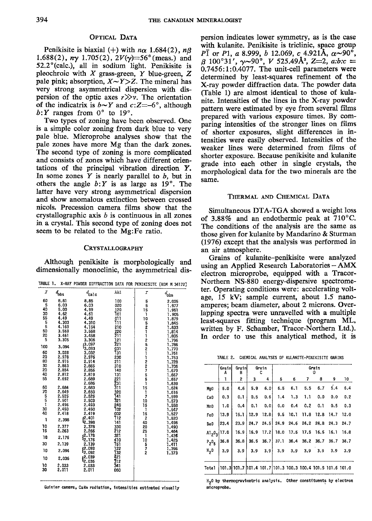### OPTICAL DATA

Penikisite is biaxial (+) with  $n\alpha$  1.684(2),  $n\beta$ 1.688(2),  $ny$  1.705(2),  $2V(y)=56^{\circ}$  (meas.) and  $52.2^{\circ}$ (calc.), all in sodium light. Penikisite is pleochroic with  $X$  grass-green,  $Y$  blue-green,  $Z$ pale pink; absorption,  $X \sim Y \geq Z$ . The mineral has very strong asymmetrical dispersion with dispersion of the optic axes  $r \gg v$ . The orientation of the indicatrix is  $b \sim Y$  and  $c:Z=-6^{\circ}$ , although  $b:Y$  ranges from  $0^{\circ}$  to  $19^{\circ}$ .

Two types of zoning have been observed. One is a simple color zoning from dark blue to very pale blue. Microprobe analyses show that the pale zones have more Mg than the dark zones. The second type of zoning is more complicated and consists of zones which have different orientations of the principal vibration direstion Y. In some zones  $Y$  is nearly parallel to  $b$ , but in others the angle  $b:Y$  is as large as 19<sup>o</sup>. The latter have very strong asymmetrical dispersion and show anomalous extinction between crossed nicols. Precession camera films show that the crystallographic axis  $b$  is continuous in all zones in a crystal. This second type of Zoning does not seem to be related to the Mg:Fe ratio.

## CRYSTALLOGRAPHY

Although penikisite is morphologically and dimensionally monoclinic, the asymmetrical dis-

|  |  | TABLE 1. X-RAY POWDER DIFFRACTION DATA FOR PENIKISITE (ROM M 34172) |
|--|--|---------------------------------------------------------------------|
|  |  |                                                                     |

| r           | $d_{\rm obs}$  | $d_{\rm calc}$                | hkl        | r                                           | $d_{\rm obs}$  |
|-------------|----------------|-------------------------------|------------|---------------------------------------------|----------------|
| 60          | 8.81           | 8.85                          | 100        | $\begin{array}{c} 5 \\ 5 \\ 15 \end{array}$ | 2.005          |
| 5           | 6.03           | 6.03                          | 020        |                                             | 1.977          |
| 40          | 5.00           | 4.99                          | 120        |                                             | 1.951          |
| 30<br>55    | 4.62           | 4.61                          | T٥1        | 1                                           | 1.905          |
|             | 4.49<br>4.303  | 4.49<br>4.310                 | 011<br>ווד | 10                                          | 1.879          |
| 55          | 4.160          | 4.154                         | 210        |                                             | 1.845          |
| 50          | 3.569          | 3.568                         | 220        |                                             | 1.833<br>1.814 |
| 20          | 3.461          | 3.458                         | 211        |                                             | 1.805          |
| 5           | 3.305          | 3.306                         | 121        |                                             | 1.796          |
| 100         |                | (3.097                        | 221        | 521125211227551                             | 1.786          |
|             | 3.094          | <sup>1</sup> 3.093            | 031        |                                             | 1.770          |
| 60          | 3.028          | 3.032                         | T31        |                                             | 1.761          |
| 20          | 2.978          | 2.976                         | 230        |                                             | 1.753          |
| 80<br>30    | 2.915<br>2.863 | 2.914                         | 211        |                                             | 1.728          |
| 20          | 2.854          | 2.865<br>2.856                | 310        |                                             | 1.706          |
| 40          | 2.812          | 2.819                         | 140<br>131 |                                             | 1.679          |
| 55          | 2.692          | 2.689                         | 221        |                                             | 1.667<br>1.657 |
|             |                | 2.686                         | 231        |                                             | 1.639          |
| 60          | 2.684          | 2.683                         | 311        |                                             | 1.624          |
| 70          | 2.649          |                               | 320        | 15<br>1                                     | 1.616          |
|             | 2.525          | 2.650<br>2.525                | 141        | 7                                           | 1,599          |
| 5<br>5<br>1 | 2.501          | 2.503                         | 321        | 10                                          | 1.573          |
|             | 2.496          | 2.493                         | 240        | 15                                          | 1.558          |
| 30          | 2.450          | 2.450                         | 102        | ı                                           | 1.547          |
| 40          | 2.418          | 2.419                         | 002        | 15                                          | 1.527          |
| ı           | 2.398          | (2.40]<br>12.398              | 112<br>141 | $\mathbf{2}$                                | 1.520          |
| 10          | 2.377          | 2.378                         | 330        | 40<br>20                                    | 1.496<br>1.490 |
| 15          | 2.263          | 2.266                         | 212        | 25                                          | 1.464          |
|             |                | (2.178)                       | 321        | ĩ                                           | 1.436          |
| 18          | 2.176          | 12.176                        | 410        | 10                                          | 1.425          |
| 30          | 2.139          | 2.139                         | T51        |                                             | 1.411          |
| 10          | 2.094          | (2.093)<br><sup>ł</sup> 2.092 | 122<br>T32 | 572                                         | 1.396<br>1.373 |
| 10          | 2.036          | s2.039                        | 421<br>312 |                                             |                |
| 10          | 2.033          | 12.036<br>2.033               | 341        |                                             |                |
| 30          | 2.011          | 2.011                         | 060        |                                             |                |
|             |                |                               |            |                                             |                |

Guinier camera, CuK $\alpha$  radiation, intensities estimated visually  $\overline{n}$  referoprobe.

persion indicates lower symmetry, as is the case with kulanite. Penikisite is triclinic, space group PT or P1, a 8.999, b 12.069, c 4.921Å,  $\alpha$ ~90°,  $\beta$  100°31',  $\gamma$ ~90°, V 525.49Å<sup>3</sup>, Z=2, a:b:c =  $0.7456:1:0.4077$ . The unit-cell parameters were determined by least-squares refinement of the X-ray powder diffraction data. The powder data (Iable 1) are almost identical to those of kulanite. Intensities of the lines in the X-ray powder pattern were estimated by eye from several films prepared with various exposure times. By comparing intensities of the stronger lines on films of shorter exposures, slight differences in intensities were easily observed. Intensities of the weaker lines were determined from films of shorter exposure. Because penikisite and kulanite grade into each other in single crystals, the morphological data for the two minerals are the same.

#### THERMAL AND CHEMICAL DATA

Simultaneous DTA-TGA showed a weight loss of 3.88% and an endothermic peak at  $710^{\circ}$ C. The conditions of the analysis are the same as thoso given for kulanite by Mandarino & Sturman (1976) except that the analysis was performed in an air atmosphere.

Grains of kulanite-penikisite were analyzed using an Applied Research Laboratories - AMX electron microprobe, equipped with a Tracor-Northern NS-880 energy-dispersive spectrometer. Operating conditions were: accelerating voltage, 15 kV; sample current, about 1.5 nanoamperes; beam diameter, about 2 microns. Overlapping spectra were unravelled with a multiple least-squares fitting technique (program ML, written by F. Schamber, Tracor-Northern Ltd.). In order to use this analytical method, it is

TABLE 2. CHEMICAL ANALYSES OF KULANITE-PENIKISITE GRAINS

|                  | Grain<br>А | Grainl<br>B                                                   |      | Grain | Grain |             |      |                                    |               |      |
|------------------|------------|---------------------------------------------------------------|------|-------|-------|-------------|------|------------------------------------|---------------|------|
|                  | 1          | 2                                                             | 3    | 4     | 5     | 6           | 7    | 8                                  | 9             | 10   |
| Mg <sub>0</sub>  | 5.0        | 4.6                                                           | 5.9  | 6.0   | 6.5   | 6.1         | 5.5  | 6.7                                | 5.4           | 6.4  |
| Ca <sub>0</sub>  | 0.3        | 0.1                                                           | 0.5  | 0.6   | 1.4   | 1.3         | 1.1  | 0.0                                | 0.0           | 0.2  |
| MnO              | 1.0        | 0.4                                                           | 0.1  | 0.0   | 0.0   | 0.4         | 0.2  | 0.1                                | 0.5           | 0.3  |
| Fe0              | 13.9       | 15.1                                                          | 12.9 | 12.81 | 9.5   | 10.1        | 11.8 |                                    | $12.8$ $14.7$ | 12.0 |
| Ba0              | 23.4       | 23.9                                                          | 24.7 |       |       |             |      | 24.5 24.9 24.6 24.2 24.8 24.3 24.7 |               |      |
| $Al_2O_3$ 17.0   |            | 16.9                                                          | 16.9 | 17.2  |       |             |      | 18.0 17.5 17.5 16.5 16.1           |               | 16.8 |
| $P_2O_F$         | 36.8       | 36.8                                                          | 36.5 | 36.7  | 37.1  |             |      | 36.4 36.2 36.7 36.7                |               | 36.7 |
| H <sub>2</sub> 0 | 3.9        | 3.9                                                           | 3.9  | 3.9   |       | $3.9$ $3.9$ |      | 3.9 3.9                            | 3.9           | 3.9  |
| Total            |            | 101.3 101.7  101.4 101.7  101.3 100.3 100.4 101.5 101.6 101.0 |      |       |       |             |      |                                    |               |      |

H<sub>2</sub>0 by thermogravimetric analysis. Other constituents by electron